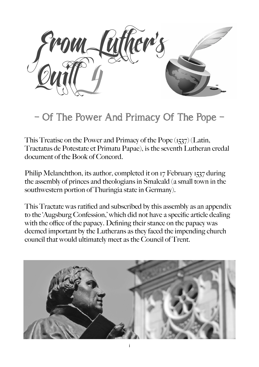From Luther's Cuill 4

– Of The Power And Primacy Of The Pope –

This Treatise on the Power and Primacy of the Pope (1537) (Latin, Tractatus de Potestate et Primatu Papae), is the seventh Lutheran credal document of the Book of Concord.

Philip Melanchthon, its author, completed it on 17 February 1537 during the assembly of princes and theologians in Smalcald (a small town in the southwestern portion of Thuringia state in Germany).

This Tractate was ratified and subscribed by this assembly as an appendix to the 'Augsburg Confession,' which did not have a specific article dealing with the office of the papacy. Defining their stance on the papacy was deemed important by the Lutherans as they faced the impending church council that would ultimately meet as the Council of Trent.

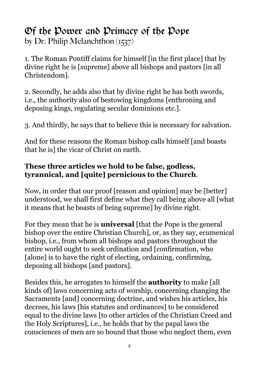## Of the Power and Primacy of the Pope

by Dr. Philip Melanchthon (1537)

1. The Roman Pontiff claims for himself [in the first place] that by divine right he is [supreme] above all bishops and pastors [in all Christendom].

2. Secondly, he adds also that by divine right he has both swords, i.e., the authority also of bestowing kingdoms [enthroning and deposing kings, regulating secular dominions etc.].

3. And thirdly, he says that to believe this is necessary for salvation.

And for these reasons the Roman bishop calls himself [and boasts that he is] the vicar of Christ on earth.

## **These three articles we hold to be false, godless, tyrannical, and [quite] pernicious to the Church**.

Now, in order that our proof [reason and opinion] may be [better] understood, we shall first define what they call being above all [what it means that he boasts of being supreme] by divine right.

For they mean that he is **universal** [that the Pope is the general bishop over the entire Christian Church], or, as they say, ecumenical bishop, i.e., from whom all bishops and pastors throughout the entire world ought to seek ordination and [confirmation, who [alone] is to have the right of electing, ordaining, confirming, deposing all bishops [and pastors].

Besides this, he arrogates to himself the **authority** to make [all kinds of] laws concerning acts of worship, concerning changing the Sacraments [and] concerning doctrine, and wishes his articles, his decrees, his laws [his statutes and ordinances] to be considered equal to the divine laws [to other articles of the Christian Creed and the Holy Scriptures], i.e., he holds that by the papal laws the consciences of men are so bound that those who neglect them, even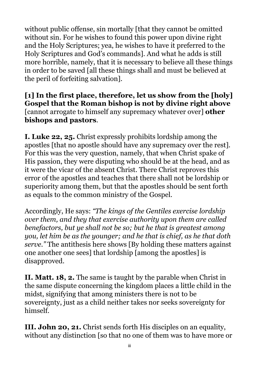without public offense, sin mortally [that they cannot be omitted without sin. For he wishes to found this power upon divine right and the Holy Scriptures; yea, he wishes to have it preferred to the Holy Scriptures and God's commands]. And what he adds is still more horrible, namely, that it is necessary to believe all these things in order to be saved [all these things shall and must be believed at the peril of forfeiting salvation].

**[1] In the first place, therefore, let us show from the [holy] Gospel that the Roman bishop is not by divine right above** [cannot arrogate to himself any supremacy whatever over] **other bishops and pastors**.

**I. Luke 22, 25.** Christ expressly prohibits lordship among the apostles [that no apostle should have any supremacy over the rest]. For this was the very question, namely, that when Christ spake of His passion, they were disputing who should be at the head, and as it were the vicar of the absent Christ. There Christ reproves this error of the apostles and teaches that there shall not be lordship or superiority among them, but that the apostles should be sent forth as equals to the common ministry of the Gospel.

Accordingly, He says: *"The kings of the Gentiles exercise lordship over them, and they that exercise authority upon them are called benefactors, but ye shall not be so; but he that is greatest among you, let him be as the younger; and he that is chief, as he that doth serve."* The antithesis here shows [By holding these matters against one another one sees] that lordship [among the apostles] is disapproved.

**II. Matt. 18, 2.** The same is taught by the parable when Christ in the same dispute concerning the kingdom places a little child in the midst, signifying that among ministers there is not to be sovereignty, just as a child neither takes nor seeks sovereignty for himself.

**III. John 20, 21.** Christ sends forth His disciples on an equality, without any distinction [so that no one of them was to have more or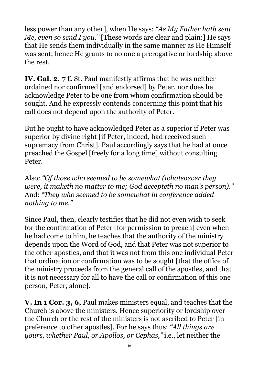less power than any other], when He says: *"As My Father hath sent Me, even so send I you."* [These words are clear and plain:] He says that He sends them individually in the same manner as He Himself was sent; hence He grants to no one a prerogative or lordship above the rest.

**IV. Gal. 2, 7 f.** St. Paul manifestly affirms that he was neither ordained nor confirmed [and endorsed] by Peter, nor does he acknowledge Peter to be one from whom confirmation should be sought. And he expressly contends concerning this point that his call does not depend upon the authority of Peter.

But he ought to have acknowledged Peter as a superior if Peter was superior by divine right [if Peter, indeed, had received such supremacy from Christ]. Paul accordingly says that he had at once preached the Gospel [freely for a long time] without consulting Peter.

Also: *"Of those who seemed to be somewhat (whatsoever they were, it maketh no matter to me; God accepteth no man's person)."* And: *"They who seemed to be somewhat in conference added nothing to me."*

Since Paul, then, clearly testifies that he did not even wish to seek for the confirmation of Peter [for permission to preach] even when he had come to him, he teaches that the authority of the ministry depends upon the Word of God, and that Peter was not superior to the other apostles, and that it was not from this one individual Peter that ordination or confirmation was to be sought [that the office of the ministry proceeds from the general call of the apostles, and that it is not necessary for all to have the call or confirmation of this one person, Peter, alone].

**V. In 1 Cor. 3, 6,** Paul makes ministers equal, and teaches that the Church is above the ministers. Hence superiority or lordship over the Church or the rest of the ministers is not ascribed to Peter [in preference to other apostles]. For he says thus: *"All things are yours, whether Paul, or Apollos, or Cephas,"* i.e., let neither the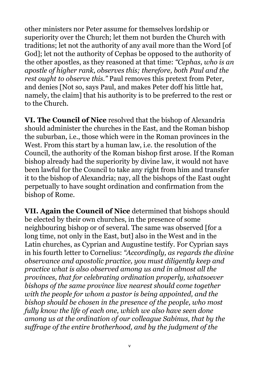other ministers nor Peter assume for themselves lordship or superiority over the Church; let them not burden the Church with traditions; let not the authority of any avail more than the Word [of God]; let not the authority of Cephas be opposed to the authority of the other apostles, as they reasoned at that time: *"Cephas, who is an apostle of higher rank, observes this; therefore, both Paul and the rest ought to observe this."* Paul removes this pretext from Peter, and denies [Not so, says Paul, and makes Peter doff his little hat, namely, the claim] that his authority is to be preferred to the rest or to the Church.

**VI. The Council of Nice** resolved that the bishop of Alexandria should administer the churches in the East, and the Roman bishop the suburban, i.e., those which were in the Roman provinces in the West. From this start by a human law, i.e. the resolution of the Council, the authority of the Roman bishop first arose. If the Roman bishop already had the superiority by divine law, it would not have been lawful for the Council to take any right from him and transfer it to the bishop of Alexandria; nay, all the bishops of the East ought perpetually to have sought ordination and confirmation from the bishop of Rome.

**VII. Again the Council of Nice** determined that bishops should be elected by their own churches, in the presence of some neighbouring bishop or of several. The same was observed [for a long time, not only in the East, but] also in the West and in the Latin churches, as Cyprian and Augustine testify. For Cyprian says in his fourth letter to Cornelius: *"Accordingly, as regards the divine observance and apostolic practice, you must diligently keep and practice what is also observed among us and in almost all the provinces, that for celebrating ordination properly, whatsoever bishops of the same province live nearest should come together with the people for whom a pastor is being appointed, and the bishop should be chosen in the presence of the people, who most fully know the life of each one, which we also have seen done among us at the ordination of our colleague Sabinus, that by the suffrage of the entire brotherhood, and by the judgment of the*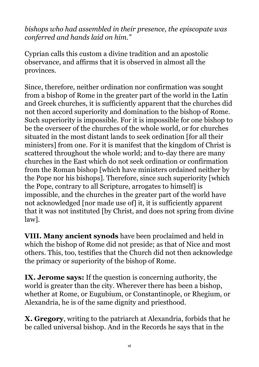*bishops who had assembled in their presence, the episcopate was conferred and hands laid on him."*

Cyprian calls this custom a divine tradition and an apostolic observance, and affirms that it is observed in almost all the provinces.

Since, therefore, neither ordination nor confirmation was sought from a bishop of Rome in the greater part of the world in the Latin and Greek churches, it is sufficiently apparent that the churches did not then accord superiority and domination to the bishop of Rome. Such superiority is impossible. For it is impossible for one bishop to be the overseer of the churches of the whole world, or for churches situated in the most distant lands to seek ordination [for all their ministers] from one. For it is manifest that the kingdom of Christ is scattered throughout the whole world; and to-day there are many churches in the East which do not seek ordination or confirmation from the Roman bishop [which have ministers ordained neither by the Pope nor his bishops]. Therefore, since such superiority [which the Pope, contrary to all Scripture, arrogates to himself] is impossible, and the churches in the greater part of the world have not acknowledged [nor made use of] it, it is sufficiently apparent that it was not instituted [by Christ, and does not spring from divine law].

**VIII. Many ancient synods** have been proclaimed and held in which the bishop of Rome did not preside; as that of Nice and most others. This, too, testifies that the Church did not then acknowledge the primacy or superiority of the bishop of Rome.

**IX. Jerome says:** If the question is concerning authority, the world is greater than the city. Wherever there has been a bishop, whether at Rome, or Eugubium, or Constantinople, or Rhegium, or Alexandria, he is of the same dignity and priesthood.

**X. Gregory**, writing to the patriarch at Alexandria, forbids that he be called universal bishop. And in the Records he says that in the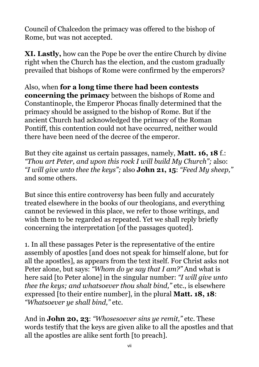Council of Chalcedon the primacy was offered to the bishop of Rome, but was not accepted.

**XI. Lastly,** how can the Pope be over the entire Church by divine right when the Church has the election, and the custom gradually prevailed that bishops of Rome were confirmed by the emperors?

Also, when **for a long time there had been contests concerning the primacy** between the bishops of Rome and Constantinople, the Emperor Phocas finally determined that the primacy should be assigned to the bishop of Rome. But if the ancient Church had acknowledged the primacy of the Roman Pontiff, this contention could not have occurred, neither would there have been need of the decree of the emperor.

But they cite against us certain passages, namely, **Matt. 16, 18** f.: *"Thou art Peter, and upon this rock I will build My Church";* also: *"I will give unto thee the keys";* also **John 21, 15**: *"Feed My sheep,"* and some others.

But since this entire controversy has been fully and accurately treated elsewhere in the books of our theologians, and everything cannot be reviewed in this place, we refer to those writings, and wish them to be regarded as repeated. Yet we shall reply briefly concerning the interpretation [of the passages quoted].

1. In all these passages Peter is the representative of the entire assembly of apostles [and does not speak for himself alone, but for all the apostles], as appears from the text itself. For Christ asks not Peter alone, but says: *"Whom do ye say that I am?"* And what is here said [to Peter alone] in the singular number: *"I will give unto thee the keys; and whatsoever thou shalt bind,"* etc., is elsewhere expressed [to their entire number], in the plural **Matt. 18, 18**: *"Whatsoever ye shall bind,"* etc.

And in **John 20, 23**: *"Whosesoever sins ye remit,"* etc. These words testify that the keys are given alike to all the apostles and that all the apostles are alike sent forth [to preach].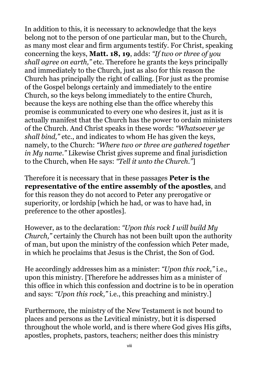In addition to this, it is necessary to acknowledge that the keys belong not to the person of one particular man, but to the Church, as many most clear and firm arguments testify. For Christ, speaking concerning the keys, **Matt. 18, 19**, adds: *"If two or three of you shall agree on earth,"* etc. Therefore he grants the keys principally and immediately to the Church, just as also for this reason the Church has principally the right of calling. [For just as the promise of the Gospel belongs certainly and immediately to the entire Church, so the keys belong immediately to the entire Church, because the keys are nothing else than the office whereby this promise is communicated to every one who desires it, just as it is actually manifest that the Church has the power to ordain ministers of the Church. And Christ speaks in these words: *"Whatsoever ye shall bind,"* etc., and indicates to whom He has given the keys, namely, to the Church: *"Where two or three are gathered together in My name."* Likewise Christ gives supreme and final jurisdiction to the Church, when He says: *"Tell it unto the Church."*]

Therefore it is necessary that in these passages **Peter is the representative of the entire assembly of the apostles**, and for this reason they do not accord to Peter any prerogative or superiority, or lordship [which he had, or was to have had, in preference to the other apostles].

However, as to the declaration: *"Upon this rock I will build My Church,"* certainly the Church has not been built upon the authority of man, but upon the ministry of the confession which Peter made, in which he proclaims that Jesus is the Christ, the Son of God.

He accordingly addresses him as a minister: *"Upon this rock,"* i.e., upon this ministry. [Therefore he addresses him as a minister of this office in which this confession and doctrine is to be in operation and says: *"Upon this rock,"* i.e., this preaching and ministry.]

Furthermore, the ministry of the New Testament is not bound to places and persons as the Levitical ministry, but it is dispersed throughout the whole world, and is there where God gives His gifts, apostles, prophets, pastors, teachers; neither does this ministry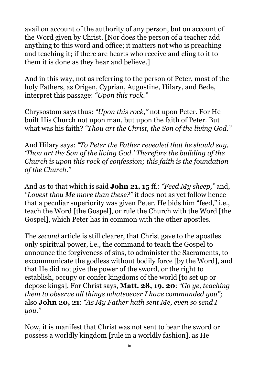avail on account of the authority of any person, but on account of the Word given by Christ. [Nor does the person of a teacher add anything to this word and office; it matters not who is preaching and teaching it; if there are hearts who receive and cling to it to them it is done as they hear and believe.]

And in this way, not as referring to the person of Peter, most of the holy Fathers, as Origen, Cyprian, Augustine, Hilary, and Bede, interpret this passage: *"Upon this rock."*

Chrysostom says thus: *"Upon this rock,"* not upon Peter. For He built His Church not upon man, but upon the faith of Peter. But what was his faith? *"Thou art the Christ, the Son of the living God."*

And Hilary says: *"To Peter the Father revealed that he should say, 'Thou art the Son of the living God.' Therefore the building of the Church is upon this rock of confession; this faith is the foundation of the Church."*

And as to that which is said **John 21, 15** ff.: *"Feed My sheep,"* and, *"Lovest thou Me more than these?"* it does not as yet follow hence that a peculiar superiority was given Peter. He bids him "feed," i.e., teach the Word [the Gospel], or rule the Church with the Word [the Gospel], which Peter has in common with the other apostles.

The *second* article is still clearer, that Christ gave to the apostles only spiritual power, i.e., the command to teach the Gospel to announce the forgiveness of sins, to administer the Sacraments, to excommunicate the godless without bodily force [by the Word], and that He did not give the power of the sword, or the right to establish, occupy or confer kingdoms of the world [to set up or depose kings]. For Christ says, **Matt. 28, 19. 20**: *"Go ye, teaching them to observe all things whatsoever I have commanded you";* also **John 20, 21**: *"As My Father hath sent Me, even so send I you."*

Now, it is manifest that Christ was not sent to bear the sword or possess a worldly kingdom [rule in a worldly fashion], as He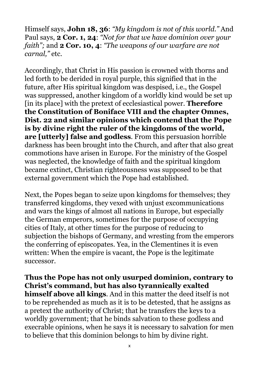Himself says, **John 18, 36**: *"My kingdom is not of this world."* And Paul says, **2 Cor. 1, 24**: *"Not for that we have dominion over your faith";* and **2 Cor. 10, 4**: *"The weapons of our warfare are not carnal,"* etc.

Accordingly, that Christ in His passion is crowned with thorns and led forth to be derided in royal purple, this signified that in the future, after His spiritual kingdom was despised, i.e., the Gospel was suppressed, another kingdom of a worldly kind would be set up [in its place] with the pretext of ecclesiastical power. **Therefore the Constitution of Boniface VIII and the chapter Omnes, Dist. 22 and similar opinions which contend that the Pope is by divine right the ruler of the kingdoms of the world, are [utterly] false and godless**. From this persuasion horrible darkness has been brought into the Church, and after that also great commotions have arisen in Europe. For the ministry of the Gospel was neglected, the knowledge of faith and the spiritual kingdom became extinct, Christian righteousness was supposed to be that external government which the Pope had established.

Next, the Popes began to seize upon kingdoms for themselves; they transferred kingdoms, they vexed with unjust excommunications and wars the kings of almost all nations in Europe, but especially the German emperors, sometimes for the purpose of occupying cities of Italy, at other times for the purpose of reducing to subjection the bishops of Germany, and wresting from the emperors the conferring of episcopates. Yea, in the Clementines it is even written: When the empire is vacant, the Pope is the legitimate successor.

**Thus the Pope has not only usurped dominion, contrary to Christ's command, but has also tyrannically exalted himself above all kings**. And in this matter the deed itself is not to be reprehended as much as it is to be detested, that he assigns as a pretext the authority of Christ; that he transfers the keys to a worldly government; that he binds salvation to these godless and execrable opinions, when he says it is necessary to salvation for men to believe that this dominion belongs to him by divine right.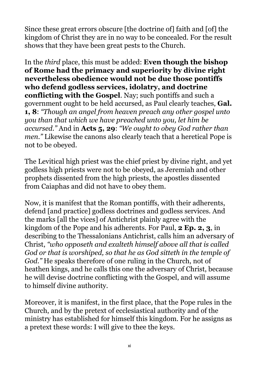Since these great errors obscure [the doctrine of] faith and [of] the kingdom of Christ they are in no way to be concealed. For the result shows that they have been great pests to the Church.

In the *third* place, this must be added: **Even though the bishop of Rome had the primacy and superiority by divine right nevertheless obedience would not be due those pontiffs who defend godless services, idolatry, and doctrine conflicting with the Gospel**. Nay; such pontiffs and such a government ought to be held accursed, as Paul clearly teaches, **Gal. 1, 8**: *"Though an angel from heaven preach any other gospel unto you than that which we have preached unto you, let him be accursed."* And in **Acts 5, 29**: *"We ought to obey God rather than men."* Likewise the canons also clearly teach that a heretical Pope is not to be obeyed.

The Levitical high priest was the chief priest by divine right, and yet godless high priests were not to be obeyed, as Jeremiah and other prophets dissented from the high priests, the apostles dissented from Caiaphas and did not have to obey them.

Now, it is manifest that the Roman pontiffs, with their adherents, defend [and practice] godless doctrines and godless services. And the marks [all the vices] of Antichrist plainly agree with the kingdom of the Pope and his adherents. For Paul, **2 Ep. 2, 3**, in describing to the Thessalonians Antichrist, calls him an adversary of Christ, *"who opposeth and exalteth himself above all that is called God or that is worshiped, so that he as God sitteth in the temple of God."* He speaks therefore of one ruling in the Church, not of heathen kings, and he calls this one the adversary of Christ, because he will devise doctrine conflicting with the Gospel, and will assume to himself divine authority.

Moreover, it is manifest, in the first place, that the Pope rules in the Church, and by the pretext of ecclesiastical authority and of the ministry has established for himself this kingdom. For he assigns as a pretext these words: I will give to thee the keys.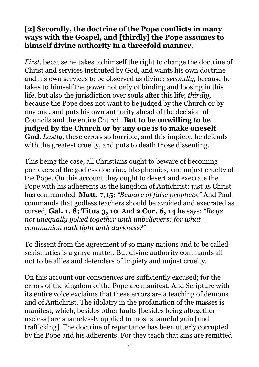## **[2] Secondly, the doctrine of the Pope conflicts in many ways with the Gospel, and [thirdly] the Pope assumes to himself divine authority in a threefold manner**.

*First,* because he takes to himself the right to change the doctrine of Christ and services instituted by God, and wants his own doctrine and his own services to be observed as divine; *secondly,* because he takes to himself the power not only of binding and loosing in this life, but also the jurisdiction over souls after this life; *thirdly,* because the Pope does not want to be judged by the Church or by any one, and puts his own authority ahead of the decision of Councils and the entire Church. **But to be unwilling to be judged by the Church or by any one is to make oneself God**. *Lastly,* these errors so horrible, and this impiety, he defends with the greatest cruelty, and puts to death those dissenting.

This being the case, all Christians ought to beware of becoming partakers of the godless doctrine, blasphemies, and unjust cruelty of the Pope. On this account they ought to desert and execrate the Pope with his adherents as the kingdom of Antichrist; just as Christ has commanded, **Matt. 7,15**: *"Beware of false prophets."* And Paul commands that godless teachers should be avoided and execrated as cursed, **Gal. 1, 8; Titus 3, 10**. And **2 Cor. 6, 14** he says: *"Be ye not unequally yoked together with unbelievers; for what communion hath light with darkness?"*

To dissent from the agreement of so many nations and to be called schismatics is a grave matter. But divine authority commands all not to be allies and defenders of impiety and unjust cruelty.

On this account our consciences are sufficiently excused; for the errors of the kingdom of the Pope are manifest. And Scripture with its entire voice exclaims that these errors are a teaching of demons and of Antichrist. The idolatry in the profanation of the masses is manifest, which, besides other faults [besides being altogether useless] are shamelessly applied to most shameful gain [and trafficking]. The doctrine of repentance has been utterly corrupted by the Pope and his adherents. For they teach that sins are remitted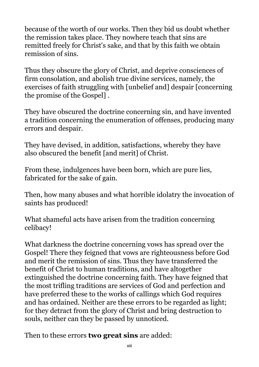because of the worth of our works. Then they bid us doubt whether the remission takes place. They nowhere teach that sins are remitted freely for Christ's sake, and that by this faith we obtain remission of sins.

Thus they obscure the glory of Christ, and deprive consciences of firm consolation, and abolish true divine services, namely, the exercises of faith struggling with [unbelief and] despair [concerning the promise of the Gospel] .

They have obscured the doctrine concerning sin, and have invented a tradition concerning the enumeration of offenses, producing many errors and despair.

They have devised, in addition, satisfactions, whereby they have also obscured the benefit [and merit] of Christ.

From these, indulgences have been born, which are pure lies, fabricated for the sake of gain.

Then, how many abuses and what horrible idolatry the invocation of saints has produced!

What shameful acts have arisen from the tradition concerning celibacy!

What darkness the doctrine concerning vows has spread over the Gospel! There they feigned that vows are righteousness before God and merit the remission of sins. Thus they have transferred the benefit of Christ to human traditions, and have altogether extinguished the doctrine concerning faith. They have feigned that the most trifling traditions are services of God and perfection and have preferred these to the works of callings which God requires and has ordained. Neither are these errors to be regarded as light; for they detract from the glory of Christ and bring destruction to souls, neither can they be passed by unnoticed.

Then to these errors **two great sins** are added: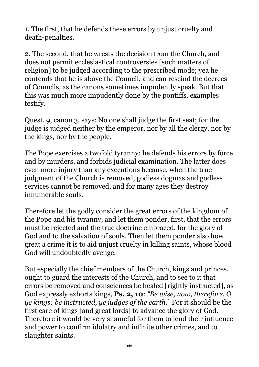1. The first, that he defends these errors by unjust cruelty and death-penalties.

2. The second, that he wrests the decision from the Church, and does not permit ecclesiastical controversies [such matters of religion] to be judged according to the prescribed mode; yea he contends that he is above the Council, and can rescind the decrees of Councils, as the canons sometimes impudently speak. But that this was much more impudently done by the pontiffs, examples testify.

Quest. 9, canon 3, says: No one shall judge the first seat; for the judge is judged neither by the emperor, nor by all the clergy, nor by the kings, nor by the people.

The Pope exercises a twofold tyranny: he defends his errors by force and by murders, and forbids judicial examination. The latter does even more injury than any executions because, when the true judgment of the Church is removed, godless dogmas and godless services cannot be removed, and for many ages they destroy innumerable souls.

Therefore let the godly consider the great errors of the kingdom of the Pope and his tyranny, and let them ponder, first, that the errors must be rejected and the true doctrine embraced, for the glory of God and to the salvation of souls. Then let them ponder also how great a crime it is to aid unjust cruelty in killing saints, whose blood God will undoubtedly avenge.

But especially the chief members of the Church, kings and princes, ought to guard the interests of the Church, and to see to it that errors be removed and consciences be healed [rightly instructed], as God expressly exhorts kings, **Ps. 2, 10**: *"Be wise, now, therefore, O ye kings; be instructed, ye judges of the earth."* For it should be the first care of kings [and great lords] to advance the glory of God. Therefore it would be very shameful for them to lend their influence and power to confirm idolatry and infinite other crimes, and to slaughter saints.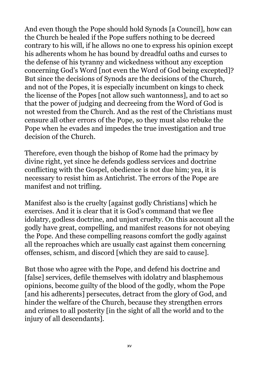And even though the Pope should hold Synods [a Council], how can the Church be healed if the Pope suffers nothing to be decreed contrary to his will, if he allows no one to express his opinion except his adherents whom he has bound by dreadful oaths and curses to the defense of his tyranny and wickedness without any exception concerning God's Word [not even the Word of God being excepted]? But since the decisions of Synods are the decisions of the Church, and not of the Popes, it is especially incumbent on kings to check the license of the Popes [not allow such wantonness], and to act so that the power of judging and decreeing from the Word of God is not wrested from the Church. And as the rest of the Christians must censure all other errors of the Pope, so they must also rebuke the Pope when he evades and impedes the true investigation and true decision of the Church.

Therefore, even though the bishop of Rome had the primacy by divine right, yet since he defends godless services and doctrine conflicting with the Gospel, obedience is not due him; yea, it is necessary to resist him as Antichrist. The errors of the Pope are manifest and not trifling.

Manifest also is the cruelty [against godly Christians] which he exercises. And it is clear that it is God's command that we flee idolatry, godless doctrine, and unjust cruelty. On this account all the godly have great, compelling, and manifest reasons for not obeying the Pope. And these compelling reasons comfort the godly against all the reproaches which are usually cast against them concerning offenses, schism, and discord [which they are said to cause].

But those who agree with the Pope, and defend his doctrine and [false] services, defile themselves with idolatry and blasphemous opinions, become guilty of the blood of the godly, whom the Pope [and his adherents] persecutes, detract from the glory of God, and hinder the welfare of the Church, because they strengthen errors and crimes to all posterity [in the sight of all the world and to the injury of all descendants].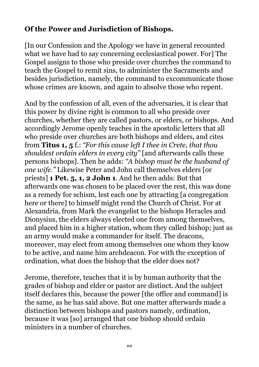## **Of the Power and Jurisdiction of Bishops.**

[In our Confession and the Apology we have in general recounted what we have had to say concerning ecclesiastical power. For] The Gospel assigns to those who preside over churches the command to teach the Gospel to remit sins, to administer the Sacraments and besides jurisdiction, namely, the command to excommunicate those whose crimes are known, and again to absolve those who repent.

And by the confession of all, even of the adversaries, it is clear that this power by divine right is common to all who preside over churches, whether they are called pastors, or elders, or bishops. And accordingly Jerome openly teaches in the apostolic letters that all who preside over churches are both bishops and elders, and cites from **Titus 1, 5** f.: *"For this cause left I thee in Crete, that thou shouldest ordain elders in every city"* [and afterwards calls these persons bishops]. Then he adds: *"A bishop must be the husband of one wife."* Likewise Peter and John call themselves elders [or priests] **1 Pet. 5, 1, 2 John 1**. And he then adds: But that afterwards one was chosen to be placed over the rest, this was done as a remedy for schism, lest each one by attracting [a congregation here or there] to himself might rend the Church of Christ. For at Alexandria, from Mark the evangelist to the bishops Heracles and Dionysius, the elders always elected one from among themselves, and placed him in a higher station, whom they called bishop; just as an army would make a commander for itself. The deacons, moreover, may elect from among themselves one whom they know to be active, and name him archdeacon. For with the exception of ordination, what does the bishop that the elder does not?

Jerome, therefore, teaches that it is by human authority that the grades of bishop and elder or pastor are distinct. And the subject itself declares this, because the power [the office and command] is the same, as he has said above. But one matter afterwards made a distinction between bishops and pastors namely, ordination, because it was [so] arranged that one bishop should ordain ministers in a number of churches.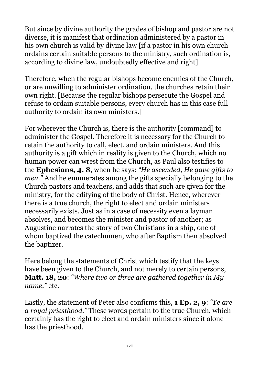But since by divine authority the grades of bishop and pastor are not diverse, it is manifest that ordination administered by a pastor in his own church is valid by divine law [if a pastor in his own church ordains certain suitable persons to the ministry, such ordination is, according to divine law, undoubtedly effective and right].

Therefore, when the regular bishops become enemies of the Church, or are unwilling to administer ordination, the churches retain their own right. [Because the regular bishops persecute the Gospel and refuse to ordain suitable persons, every church has in this case full authority to ordain its own ministers.]

For wherever the Church is, there is the authority [command] to administer the Gospel. Therefore it is necessary for the Church to retain the authority to call, elect, and ordain ministers. And this authority is a gift which in reality is given to the Church, which no human power can wrest from the Church, as Paul also testifies to the **Ephesians, 4, 8**, when he says: *"He ascended, He gave gifts to men."* And he enumerates among the gifts specially belonging to the Church pastors and teachers, and adds that such are given for the ministry, for the edifying of the body of Christ. Hence, wherever there is a true church, the right to elect and ordain ministers necessarily exists. Just as in a case of necessity even a layman absolves, and becomes the minister and pastor of another; as Augustine narrates the story of two Christians in a ship, one of whom baptized the catechumen, who after Baptism then absolved the baptizer.

Here belong the statements of Christ which testify that the keys have been given to the Church, and not merely to certain persons, **Matt. 18, 20**: *"Where two or three are gathered together in My name,"* etc.

Lastly, the statement of Peter also confirms this, **1 Ep. 2, 9**: *"Ye are a royal priesthood."* These words pertain to the true Church, which certainly has the right to elect and ordain ministers since it alone has the priesthood.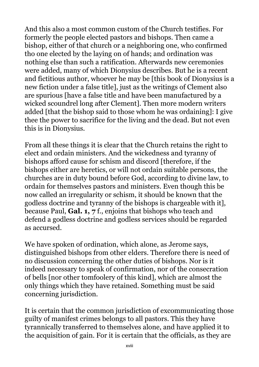And this also a most common custom of the Church testifies. For formerly the people elected pastors and bishops. Then came a bishop, either of that church or a neighboring one, who confirmed tho one elected by the laying on of hands; and ordination was nothing else than such a ratification. Afterwards new ceremonies were added, many of which Dionysius describes. But he is a recent and fictitious author, whoever he may be [this book of Dionysius is a new fiction under a false title], just as the writings of Clement also are spurious [have a false title and have been manufactured by a wicked scoundrel long after Clement]. Then more modern writers added [that the bishop said to those whom he was ordaining]: I give thee the power to sacrifice for the living and the dead. But not even this is in Dionysius.

From all these things it is clear that the Church retains the right to elect and ordain ministers. And the wickedness and tyranny of bishops afford cause for schism and discord [therefore, if the bishops either are heretics, or will not ordain suitable persons, the churches are in duty bound before God, according to divine law, to ordain for themselves pastors and ministers. Even though this be now called an irregularity or schism, it should be known that the godless doctrine and tyranny of the bishops is chargeable with it], because Paul, **Gal. 1, 7** f., enjoins that bishops who teach and defend a godless doctrine and godless services should be regarded as accursed.

We have spoken of ordination, which alone, as Jerome says, distinguished bishops from other elders. Therefore there is need of no discussion concerning the other duties of bishops. Nor is it indeed necessary to speak of confirmation, nor of the consecration of bells [nor other tomfoolery of this kind], which are almost the only things which they have retained. Something must be said concerning jurisdiction.

It is certain that the common jurisdiction of excommunicating those guilty of manifest crimes belongs to all pastors. This they have tyrannically transferred to themselves alone, and have applied it to the acquisition of gain. For it is certain that the officials, as they are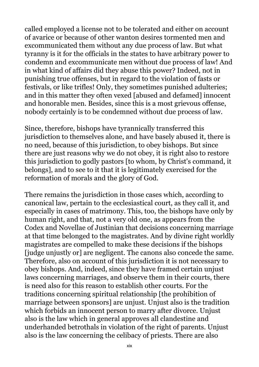called employed a license not to be tolerated and either on account of avarice or because of other wanton desires tormented men and excommunicated them without any due process of law. But what tyranny is it for the officials in the states to have arbitrary power to condemn and excommunicate men without due process of law! And in what kind of affairs did they abuse this power? Indeed, not in punishing true offenses, but in regard to the violation of fasts or festivals, or like trifles! Only, they sometimes punished adulteries; and in this matter they often vexed [abused and defamed] innocent and honorable men. Besides, since this is a most grievous offense, nobody certainly is to be condemned without due process of law.

Since, therefore, bishops have tyrannically transferred this jurisdiction to themselves alone, and have basely abused it, there is no need, because of this jurisdiction, to obey bishops. But since there are just reasons why we do not obey, it is right also to restore this jurisdiction to godly pastors [to whom, by Christ's command, it belongs], and to see to it that it is legitimately exercised for the reformation of morals and the glory of God.

There remains the jurisdiction in those cases which, according to canonical law, pertain to the ecclesiastical court, as they call it, and especially in cases of matrimony. This, too, the bishops have only by human right, and that, not a very old one, as appears from the Codex and Novellae of Justinian that decisions concerning marriage at that time belonged to the magistrates. And by divine right worldly magistrates are compelled to make these decisions if the bishops [judge unjustly or] are negligent. The canons also concede the same. Therefore, also on account of this jurisdiction it is not necessary to obey bishops. And, indeed, since they have framed certain unjust laws concerning marriages, and observe them in their courts, there is need also for this reason to establish other courts. For the traditions concerning spiritual relationship [the prohibition of marriage between sponsors] are unjust. Unjust also is the tradition which forbids an innocent person to marry after divorce. Unjust also is the law which in general approves all clandestine and underhanded betrothals in violation of the right of parents. Unjust also is the law concerning the celibacy of priests. There are also